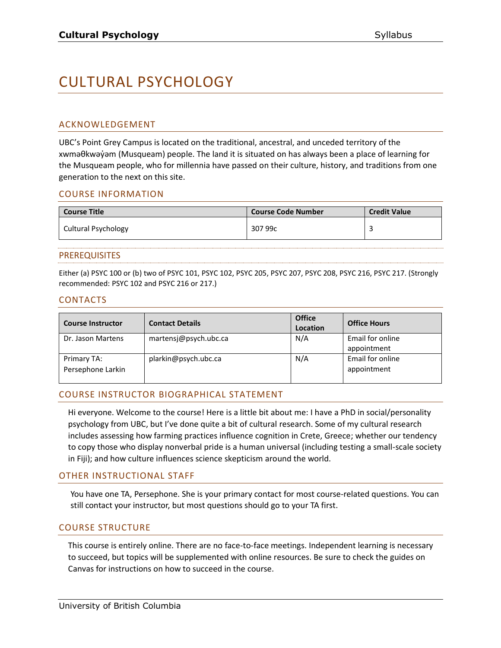# CULTURAL PSYCHOLOGY

#### ACKNOWLEDGEMENT

UBC's Point Grey Campus is located on the traditional, ancestral, and unceded territory of the xwməθkwəy̓əm (Musqueam) people. The land it is situated on has always been a place of learning for the Musqueam people, who for millennia have passed on their culture, history, and traditions from one generation to the next on this site.

#### COURSE INFORMATION

| <b>Course Title</b> | <b>Course Code Number</b> | <b>Credit Value</b> |
|---------------------|---------------------------|---------------------|
| Cultural Psychology | 307 99c                   |                     |

#### PREREQUISITES

Either (a) PSYC 100 or (b) two of PSYC 101, PSYC 102, PSYC 205, PSYC 207, PSYC 208, PSYC 216, PSYC 217. (Strongly recommended: PSYC 102 and PSYC 216 or 217.)

#### CONTACTS

| <b>Course Instructor</b>         | <b>Contact Details</b> | <b>Office</b><br>Location | <b>Office Hours</b>             |
|----------------------------------|------------------------|---------------------------|---------------------------------|
| Dr. Jason Martens                | martensj@psych.ubc.ca  | N/A                       | Email for online<br>appointment |
| Primary TA:<br>Persephone Larkin | plarkin@psych.ubc.ca   | N/A                       | Email for online<br>appointment |

# COURSE INSTRUCTOR BIOGRAPHICAL STATEMENT

Hi everyone. Welcome to the course! Here is a little bit about me: I have a PhD in social/personality psychology from UBC, but I've done quite a bit of cultural research. Some of my cultural research includes assessing how farming practices influence cognition in Crete, Greece; whether our tendency to copy those who display nonverbal pride is a human universal (including testing a small-scale society in Fiji); and how culture influences science skepticism around the world.

#### OTHER INSTRUCTIONAL STAFF

You have one TA, Persephone. She is your primary contact for most course-related questions. You can still contact your instructor, but most questions should go to your TA first.

#### COURSE STRUCTURE

This course is entirely online. There are no face-to-face meetings. Independent learning is necessary to succeed, but topics will be supplemented with online resources. Be sure to check the guides on Canvas for instructions on how to succeed in the course.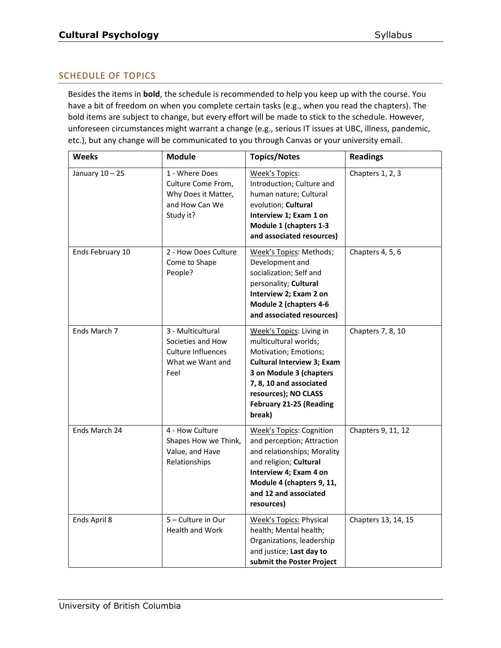# SCHEDULE OF TOPICS

Besides the items in **bold**, the schedule is recommended to help you keep up with the course. You have a bit of freedom on when you complete certain tasks (e.g., when you read the chapters). The bold items are subject to change, but every effort will be made to stick to the schedule. However, unforeseen circumstances might warrant a change (e.g., serious IT issues at UBC, illness, pandemic, etc.), but any change will be communicated to you through Canvas or your university email.

| <b>Weeks</b>      | <b>Module</b>                                                                              | <b>Topics/Notes</b>                                                                                                                                                                                                                       | <b>Readings</b>     |
|-------------------|--------------------------------------------------------------------------------------------|-------------------------------------------------------------------------------------------------------------------------------------------------------------------------------------------------------------------------------------------|---------------------|
| January $10 - 25$ | 1 - Where Does<br>Culture Come From,<br>Why Does it Matter,<br>and How Can We<br>Study it? | Week's Topics:<br>Introduction; Culture and<br>human nature; Cultural<br>evolution; Cultural<br>Interview 1; Exam 1 on<br>Module 1 (chapters 1-3<br>and associated resources)                                                             | Chapters 1, 2, 3    |
| Ends February 10  | 2 - How Does Culture<br>Come to Shape<br>People?                                           | Week's Topics: Methods;<br>Development and<br>socialization; Self and<br>personality; Cultural<br>Interview 2; Exam 2 on<br>Module 2 (chapters 4-6<br>and associated resources)                                                           | Chapters 4, 5, 6    |
| Ends March 7      | 3 - Multicultural<br>Societies and How<br>Culture Influences<br>What we Want and<br>Feel   | Week's Topics: Living in<br>multicultural worlds;<br>Motivation; Emotions;<br><b>Cultural Interview 3; Exam</b><br>3 on Module 3 (chapters<br>7, 8, 10 and associated<br>resources); NO CLASS<br><b>February 21-25 (Reading</b><br>break) | Chapters 7, 8, 10   |
| Ends March 24     | 4 - How Culture<br>Shapes How we Think,<br>Value, and Have<br>Relationships                | <b>Week's Topics: Cognition</b><br>and perception; Attraction<br>and relationships; Morality<br>and religion; Cultural<br>Interview 4; Exam 4 on<br>Module 4 (chapters 9, 11,<br>and 12 and associated<br>resources)                      | Chapters 9, 11, 12  |
| Ends April 8      | 5 - Culture in Our<br>Health and Work                                                      | <b>Week's Topics: Physical</b><br>health; Mental health;<br>Organizations, leadership<br>and justice; Last day to<br>submit the Poster Project                                                                                            | Chapters 13, 14, 15 |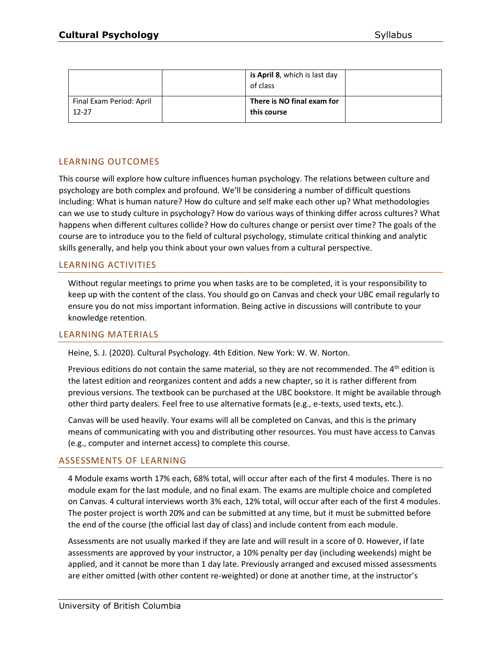|                                       | <b>is April 8</b> , which is last day<br>of class |  |
|---------------------------------------|---------------------------------------------------|--|
| Final Exam Period: April<br>$12 - 27$ | There is NO final exam for<br>this course         |  |

# LEARNING OUTCOMES

This course will explore how culture influences human psychology. The relations between culture and psychology are both complex and profound. We'll be considering a number of difficult questions including: What is human nature? How do culture and self make each other up? What methodologies can we use to study culture in psychology? How do various ways of thinking differ across cultures? What happens when different cultures collide? How do cultures change or persist over time? The goals of the course are to introduce you to the field of cultural psychology, stimulate critical thinking and analytic skills generally, and help you think about your own values from a cultural perspective.

# LEARNING ACTIVITIES

Without regular meetings to prime you when tasks are to be completed, it is your responsibility to keep up with the content of the class. You should go on Canvas and check your UBC email regularly to ensure you do not miss important information. Being active in discussions will contribute to your knowledge retention.

#### LEARNING MATERIALS

Heine, S. J. (2020). Cultural Psychology. 4th Edition. New York: W. W. Norton.

Previous editions do not contain the same material, so they are not recommended. The  $4<sup>th</sup>$  edition is the latest edition and reorganizes content and adds a new chapter, so it is rather different from previous versions. The textbook can be purchased at the UBC bookstore. It might be available through other third party dealers. Feel free to use alternative formats (e.g., e-texts, used texts, etc.).

Canvas will be used heavily. Your exams will all be completed on Canvas, and this is the primary means of communicating with you and distributing other resources. You must have access to Canvas (e.g., computer and internet access) to complete this course.

#### ASSESSMENTS OF LEARNING

4 Module exams worth 17% each, 68% total, will occur after each of the first 4 modules. There is no module exam for the last module, and no final exam. The exams are multiple choice and completed on Canvas. 4 cultural interviews worth 3% each, 12% total, will occur after each of the first 4 modules. The poster project is worth 20% and can be submitted at any time, but it must be submitted before the end of the course (the official last day of class) and include content from each module.

Assessments are not usually marked if they are late and will result in a score of 0. However, if late assessments are approved by your instructor, a 10% penalty per day (including weekends) might be applied, and it cannot be more than 1 day late. Previously arranged and excused missed assessments are either omitted (with other content re-weighted) or done at another time, at the instructor's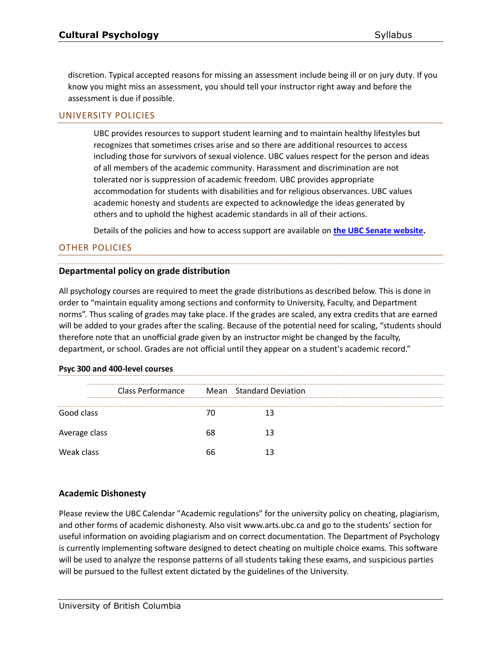discretion. Typical accepted reasons for missing an assessment include being ill or on jury duty. If you know you might miss an assessment, you should tell your instructor right away and before the assessment is due if possible.

#### UNIVERSITY POLICIES

UBC provides resources to support student learning and to maintain healthy lifestyles but recognizes that sometimes crises arise and so there are additional resources to access including those for survivors of sexual violence. UBC values respect for the person and ideas of all members of the academic community. Harassment and discrimination are not tolerated nor is suppression of academic freedom. UBC provides appropriate accommodation for students with disabilities and for religious observances. UBC values academic honesty and students are expected to acknowledge the ideas generated by others and to uphold the highest academic standards in all of their actions.

Details of the policies and how to access support are available on **[the UBC Senate website.](https://senate.ubc.ca/policies-resources-support-student-success)**

## OTHER POLICIES

#### **Departmental policy on grade distribution**

All psychology courses are required to meet the grade distributions as described below. This is done in order to "maintain equality among sections and conformity to University, Faculty, and Department norms". Thus scaling of grades may take place. If the grades are scaled, any extra credits that are earned will be added to your grades after the scaling. Because of the potential need for scaling, "students should therefore note that an unofficial grade given by an instructor might be changed by the faculty, department, or school. Grades are not official until they appear on a student's academic record."

|               | <b>Class Performance</b> |    | Mean Standard Deviation |
|---------------|--------------------------|----|-------------------------|
|               |                          |    |                         |
| Good class    |                          |    |                         |
| Average class |                          | 68 |                         |
| Weak class    |                          | 66 |                         |
|               |                          |    |                         |

#### **Psyc 300 and 400-level courses**

#### **Academic Dishonesty**

Please review the UBC Calendar "Academic regulations" for the university policy on cheating, plagiarism, and other forms of academic dishonesty. Also visit www.arts.ubc.ca and go to the students' section for useful information on avoiding plagiarism and on correct documentation. The Department of Psychology is currently implementing software designed to detect cheating on multiple choice exams. This software will be used to analyze the response patterns of all students taking these exams, and suspicious parties will be pursued to the fullest extent dictated by the guidelines of the University.